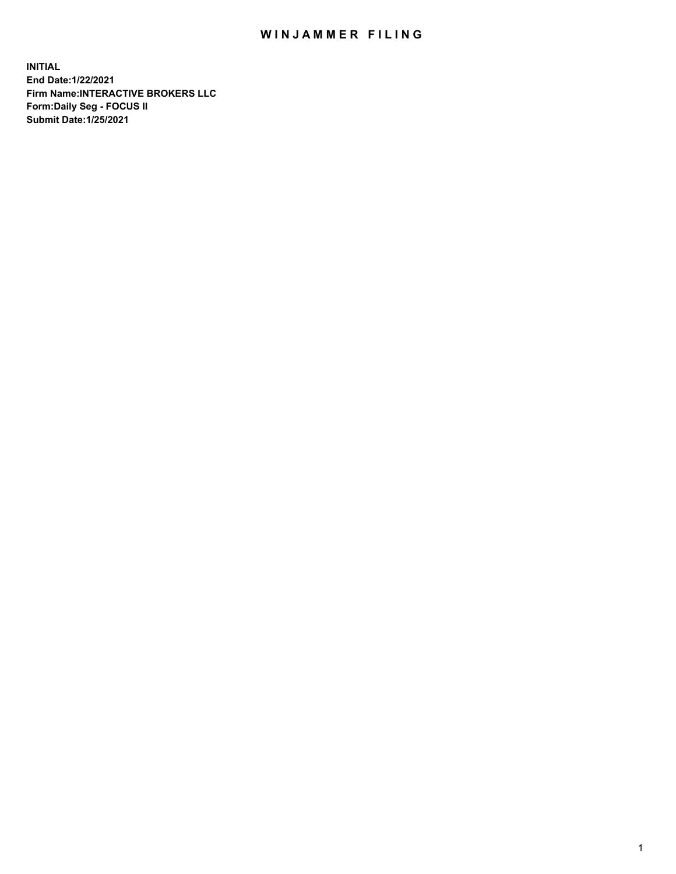## WIN JAMMER FILING

**INITIAL End Date:1/22/2021 Firm Name:INTERACTIVE BROKERS LLC Form:Daily Seg - FOCUS II Submit Date:1/25/2021**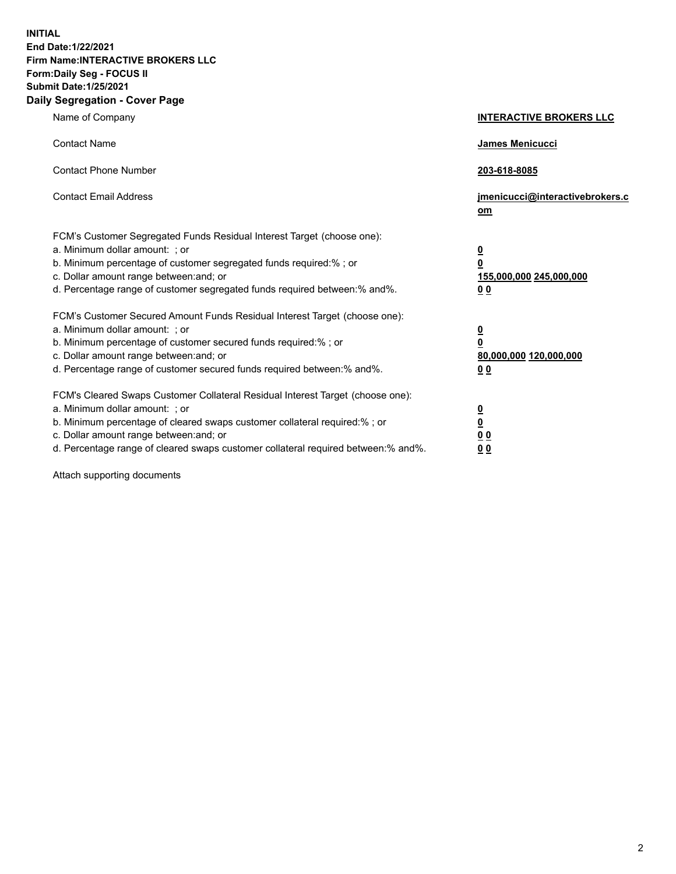**INITIAL End Date:1/22/2021 Firm Name:INTERACTIVE BROKERS LLC Form:Daily Seg - FOCUS II Submit Date:1/25/2021 Daily Segregation - Cover Page**

| Name of Company                                                                                                                                                                                                                                                                                                               | <b>INTERACTIVE BROKERS LLC</b>                                                            |  |
|-------------------------------------------------------------------------------------------------------------------------------------------------------------------------------------------------------------------------------------------------------------------------------------------------------------------------------|-------------------------------------------------------------------------------------------|--|
| <b>Contact Name</b>                                                                                                                                                                                                                                                                                                           | James Menicucci                                                                           |  |
| <b>Contact Phone Number</b>                                                                                                                                                                                                                                                                                                   | 203-618-8085                                                                              |  |
| <b>Contact Email Address</b>                                                                                                                                                                                                                                                                                                  | jmenicucci@interactivebrokers.c<br><u>om</u>                                              |  |
| FCM's Customer Segregated Funds Residual Interest Target (choose one):<br>a. Minimum dollar amount: ; or<br>b. Minimum percentage of customer segregated funds required:% ; or<br>c. Dollar amount range between: and; or<br>d. Percentage range of customer segregated funds required between: % and %.                      | $\overline{\mathbf{0}}$<br>0<br>155,000,000 245,000,000<br>0 <sub>0</sub>                 |  |
| FCM's Customer Secured Amount Funds Residual Interest Target (choose one):<br>a. Minimum dollar amount: ; or<br>b. Minimum percentage of customer secured funds required:%; or<br>c. Dollar amount range between: and; or<br>d. Percentage range of customer secured funds required between:% and%.                           | <u>0</u><br>$\overline{\mathbf{0}}$<br>80,000,000 120,000,000<br>00                       |  |
| FCM's Cleared Swaps Customer Collateral Residual Interest Target (choose one):<br>a. Minimum dollar amount: ; or<br>b. Minimum percentage of cleared swaps customer collateral required:%; or<br>c. Dollar amount range between: and; or<br>d. Percentage range of cleared swaps customer collateral required between:% and%. | <u>0</u><br>$\underline{\mathbf{0}}$<br>$\underline{0}$ $\underline{0}$<br>0 <sub>0</sub> |  |

Attach supporting documents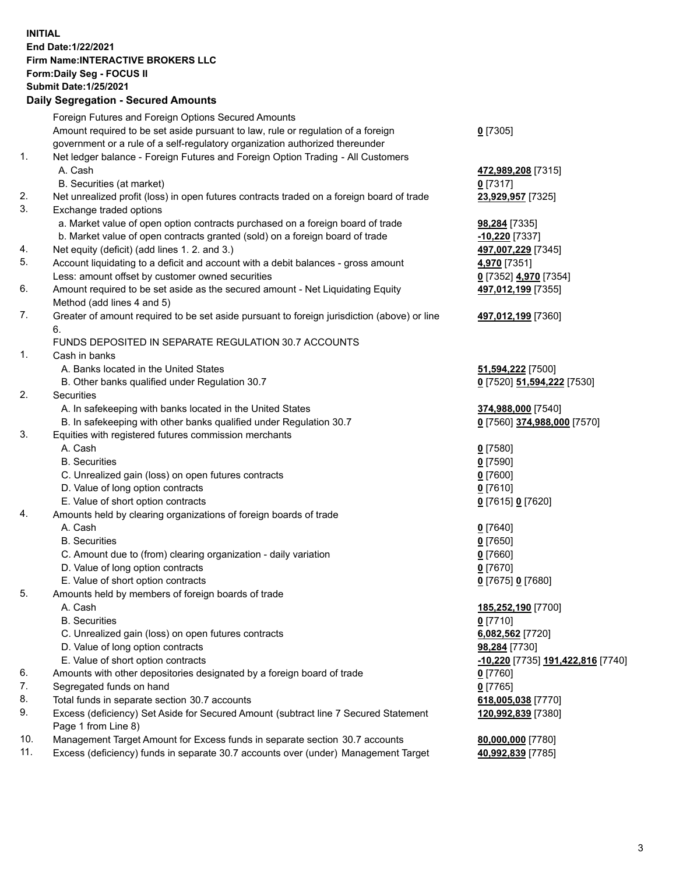**INITIAL End Date:1/22/2021 Firm Name:INTERACTIVE BROKERS LLC Form:Daily Seg - FOCUS II Submit Date:1/25/2021 Daily Segregation - Secured Amounts**

## Foreign Futures and Foreign Options Secured Amounts Amount required to be set aside pursuant to law, rule or regulation of a foreign government or a rule of a self-regulatory organization authorized thereunder **0** [7305] 1. Net ledger balance - Foreign Futures and Foreign Option Trading - All Customers A. Cash **472,989,208** [7315] B. Securities (at market) **0** [7317] 2. Net unrealized profit (loss) in open futures contracts traded on a foreign board of trade **23,929,957** [7325] 3. Exchange traded options a. Market value of open option contracts purchased on a foreign board of trade **98,284** [7335] b. Market value of open contracts granted (sold) on a foreign board of trade **-10,220** [7337] 4. Net equity (deficit) (add lines 1. 2. and 3.) **497,007,229** [7345] 5. Account liquidating to a deficit and account with a debit balances - gross amount **4,970** [7351] Less: amount offset by customer owned securities **0** [7352] **4,970** [7354] 6. Amount required to be set aside as the secured amount - Net Liquidating Equity Method (add lines 4 and 5) **497,012,199** [7355] 7. Greater of amount required to be set aside pursuant to foreign jurisdiction (above) or line 6. **497,012,199** [7360] FUNDS DEPOSITED IN SEPARATE REGULATION 30.7 ACCOUNTS 1. Cash in banks A. Banks located in the United States **51,594,222** [7500] B. Other banks qualified under Regulation 30.7 **0** [7520] **51,594,222** [7530] 2. Securities A. In safekeeping with banks located in the United States **374,988,000** [7540] B. In safekeeping with other banks qualified under Regulation 30.7 **0** [7560] **374,988,000** [7570] 3. Equities with registered futures commission merchants A. Cash **0** [7580] B. Securities **0** [7590] C. Unrealized gain (loss) on open futures contracts **0** [7600] D. Value of long option contracts **0** [7610] E. Value of short option contracts **0** [7615] **0** [7620] 4. Amounts held by clearing organizations of foreign boards of trade A. Cash **0** [7640] B. Securities **0** [7650] C. Amount due to (from) clearing organization - daily variation **0** [7660] D. Value of long option contracts **0** [7670] E. Value of short option contracts **0** [7675] **0** [7680] 5. Amounts held by members of foreign boards of trade A. Cash **185,252,190** [7700] B. Securities **0** [7710] C. Unrealized gain (loss) on open futures contracts **6,082,562** [7720] D. Value of long option contracts **98,284** [7730] E. Value of short option contracts **-10,220** [7735] **191,422,816** [7740] 6. Amounts with other depositories designated by a foreign board of trade **0** [7760] 7. Segregated funds on hand **0** [7765] 8. Total funds in separate section 30.7 accounts **618,005,038** [7770] 9. Excess (deficiency) Set Aside for Secured Amount (subtract line 7 Secured Statement Page 1 from Line 8) **120,992,839** [7380] 10. Management Target Amount for Excess funds in separate section 30.7 accounts **80,000,000** [7780] 11. Excess (deficiency) funds in separate 30.7 accounts over (under) Management Target **40,992,839** [7785]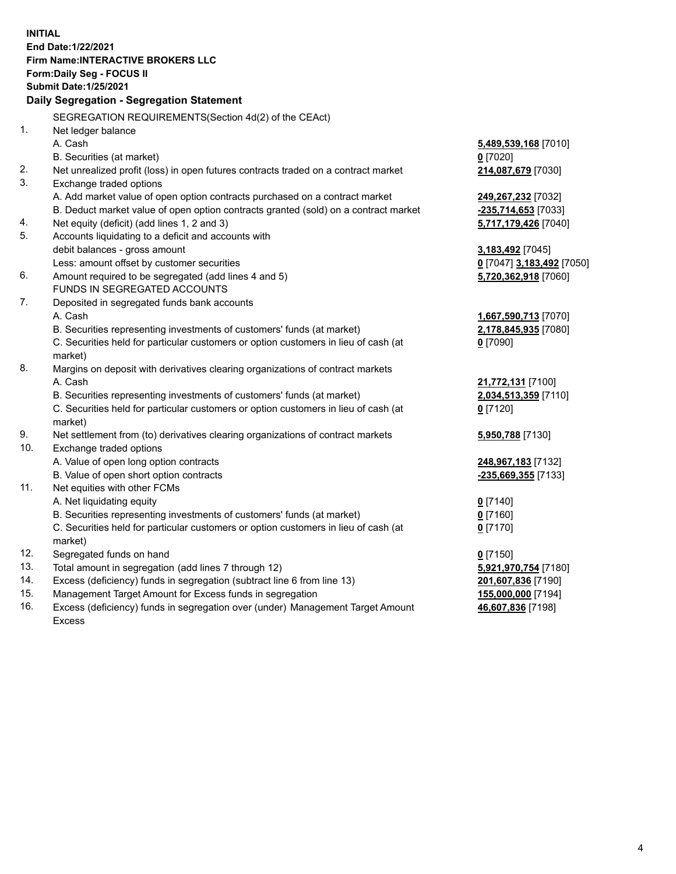**INITIAL End Date:1/22/2021 Firm Name:INTERACTIVE BROKERS LLC Form:Daily Seg - FOCUS II Submit Date:1/25/2021 Daily Segregation - Segregation Statement** SEGREGATION REQUIREMENTS(Section 4d(2) of the CEAct) 1. Net ledger balance A. Cash **5,489,539,168** [7010] B. Securities (at market) **0** [7020] 2. Net unrealized profit (loss) in open futures contracts traded on a contract market **214,087,679** [7030] 3. Exchange traded options A. Add market value of open option contracts purchased on a contract market **249,267,232** [7032] B. Deduct market value of open option contracts granted (sold) on a contract market **-235,714,653** [7033] 4. Net equity (deficit) (add lines 1, 2 and 3) **5,717,179,426** [7040] 5. Accounts liquidating to a deficit and accounts with debit balances - gross amount **3,183,492** [7045] Less: amount offset by customer securities **0** [7047] **3,183,492** [7050] 6. Amount required to be segregated (add lines 4 and 5) **5,720,362,918** [7060] FUNDS IN SEGREGATED ACCOUNTS 7. Deposited in segregated funds bank accounts A. Cash **1,667,590,713** [7070] B. Securities representing investments of customers' funds (at market) **2,178,845,935** [7080] C. Securities held for particular customers or option customers in lieu of cash (at market) **0** [7090] 8. Margins on deposit with derivatives clearing organizations of contract markets A. Cash **21,772,131** [7100] B. Securities representing investments of customers' funds (at market) **2,034,513,359** [7110] C. Securities held for particular customers or option customers in lieu of cash (at market) **0** [7120] 9. Net settlement from (to) derivatives clearing organizations of contract markets **5,950,788** [7130] 10. Exchange traded options A. Value of open long option contracts **248,967,183** [7132] B. Value of open short option contracts **-235,669,355** [7133] 11. Net equities with other FCMs A. Net liquidating equity **0** [7140] B. Securities representing investments of customers' funds (at market) **0** [7160] C. Securities held for particular customers or option customers in lieu of cash (at market) **0** [7170] 12. Segregated funds on hand **0** [7150] 13. Total amount in segregation (add lines 7 through 12) **5,921,970,754** [7180] 14. Excess (deficiency) funds in segregation (subtract line 6 from line 13) **201,607,836** [7190] 15. Management Target Amount for Excess funds in segregation **155,000,000** [7194]

16. Excess (deficiency) funds in segregation over (under) Management Target Amount Excess

**46,607,836** [7198]